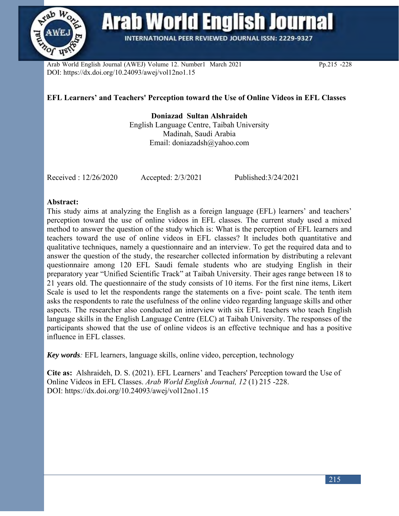

**Arab World English Journal** 

**INTERNATIONAL PEER REVIEWED JOURNAL ISSN: 2229-9327** 

Arab World English Journal (AWEJ) Volume 12. Number1 March 2021 Pp.215 -228 DOI: https://dx.doi.org/10.24093/awej/vol12no1.15

# **EFL Learners' and Teachers' Perception toward the Use of Online Videos in EFL Classes**

**Doniazad Sultan Alshraideh** English Language Centre, Taibah University Madinah, Saudi Arabia Email: doniazadsh@yahoo.com

Received : 12/26/2020 Accepted: 2/3/2021 Published:3/24/2021

## **Abstract:**

This study aims at analyzing the English as a foreign language (EFL) learners' and teachers' perception toward the use of online videos in EFL classes. The current study used a mixed method to answer the question of the study which is: What is the perception of EFL learners and teachers toward the use of online videos in EFL classes? It includes both quantitative and qualitative techniques, namely a questionnaire and an interview. To get the required data and to answer the question of the study, the researcher collected information by distributing a relevant questionnaire among 120 EFL Saudi female students who are studying English in their preparatory year "Unified Scientific Track" at Taibah University. Their ages range between 18 to 21 years old. The questionnaire of the study consists of 10 items. For the first nine items, Likert Scale is used to let the respondents range the statements on a five- point scale. The tenth item asks the respondents to rate the usefulness of the online video regarding language skills and other aspects. The researcher also conducted an interview with six EFL teachers who teach English language skills in the English Language Centre (ELC) at Taibah University. The responses of the participants showed that the use of online videos is an effective technique and has a positive influence in EFL classes.

*Key words:* EFL learners, language skills, online video, perception, technology

**Cite as:** Alshraideh, D. S. (2021). EFL Learners' and Teachers' Perception toward the Use of Online Videos in EFL Classes. *Arab World English Journal, 12* (1) 215 -228. DOI: https://dx.doi.org/10.24093/awej/vol12no1.15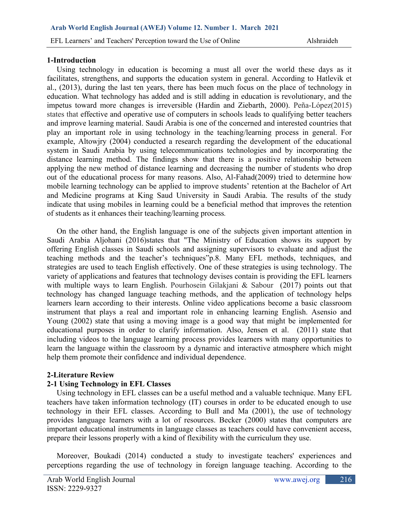## **1-Introduction**

 Using technology in education is becoming a must all over the world these days as it facilitates, strengthens, and supports the education system in general. According to Hatlevik et al., (2013), during the last ten years, there has been much focus on the place of technology in education. What technology has added and is still adding in education is revolutionary, and the impetus toward more changes is irreversible (Hardin and Ziebarth, 2000). Peña-López(2015) states that effective and operative use of computers in schools leads to qualifying better teachers and improve learning material. Saudi Arabia is one of the concerned and interested countries that play an important role in using technology in the teaching/learning process in general. For example, Altowjry (2004) conducted a research regarding the development of the educational system in Saudi Arabia by using telecommunications technologies and by incorporating the distance learning method. The findings show that there is a positive relationship between applying the new method of distance learning and decreasing the number of students who drop out of the educational process for many reasons. Also, Al-Fahad(2009) tried to determine how mobile learning technology can be applied to improve students' retention at the Bachelor of Art and Medicine programs at King Saud University in Saudi Arabia. The results of the study indicate that using mobiles in learning could be a beneficial method that improves the retention of students as it enhances their teaching/learning process*.*

 On the other hand, the English language is one of the subjects given important attention in Saudi Arabia Aljohani (2016)states that "The Ministry of Education shows its support by offering English classes in Saudi schools and assigning supervisors to evaluate and adjust the teaching methods and the teacher's techniques"p.8. Many EFL methods, techniques, and strategies are used to teach English effectively. One of these strategies is using technology. The variety of applications and features that technology devises contain is providing the EFL learners with multiple ways to learn English. Pourhosein Gilakjani & Sabour (2017) points out that technology has changed language teaching methods, and the application of technology helps learners learn according to their interests. Online video applications become a basic classroom instrument that plays a real and important role in enhancing learning English. Asensio and Young (2002) state that using a moving image is a good way that might be implemented for educational purposes in order to clarify information. Also, Jensen et al. (2011) state that including videos to the language learning process provides learners with many opportunities to learn the language within the classroom by a dynamic and interactive atmosphere which might help them promote their confidence and individual dependence.

# **2-Literature Review**

# **2-1 Using Technology in EFL Classes**

 Using technology in EFL classes can be a useful method and a valuable technique. Many EFL teachers have taken information technology (IT) courses in order to be educated enough to use technology in their EFL classes. According to Bull and Ma (2001), the use of technology provides language learners with a lot of resources. Becker (2000) states that computers are important educational instruments in language classes as teachers could have convenient access, prepare their lessons properly with a kind of flexibility with the curriculum they use.

 Moreover, Boukadi (2014) conducted a study to investigate teachers' experiences and perceptions regarding the use of technology in foreign language teaching. According to the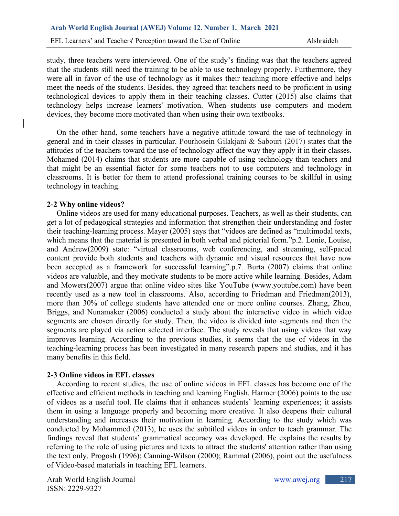study, three teachers were interviewed. One of the study's finding was that the teachers agreed that the students still need the training to be able to use technology properly. Furthermore, they were all in favor of the use of technology as it makes their teaching more effective and helps meet the needs of the students. Besides, they agreed that teachers need to be proficient in using technological devices to apply them in their teaching classes. Cutter (2015) also claims that technology helps increase learners' motivation. When students use computers and modern devices, they become more motivated than when using their own textbooks.

 On the other hand, some teachers have a negative attitude toward the use of technology in general and in their classes in particular. Pourhosein Gilakjani & Sabouri (2017) states that the attitudes of the teachers toward the use of technology affect the way they apply it in their classes. Mohamed (2014) claims that students are more capable of using technology than teachers and that might be an essential factor for some teachers not to use computers and technology in classrooms. It is better for them to attend professional training courses to be skillful in using technology in teaching.

## **2-2 Why online videos?**

 Online videos are used for many educational purposes. Teachers, as well as their students, can get a lot of pedagogical strategies and information that strengthen their understanding and foster their teaching-learning process. Mayer (2005) says that "videos are defined as "multimodal texts, which means that the material is presented in both verbal and pictorial form."p.2. Lonie, Louise, and Andrew(2009) state: "virtual classrooms, web conferencing, and streaming, self-paced content provide both students and teachers with dynamic and visual resources that have now been accepted as a framework for successful learning".p.7. Burta (2007) claims that online videos are valuable, and they motivate students to be more active while learning. Besides, Adam and Mowers(2007) argue that online video sites like YouTube (www.youtube.com) have been recently used as a new tool in classrooms. Also, according to Friedman and Friedman(2013), more than 30% of college students have attended one or more online courses. Zhang, Zhou, Briggs, and Nunamaker (2006) conducted a study about the interactive video in which video segments are chosen directly for study. Then, the video is divided into segments and then the segments are played via action selected interface. The study reveals that using videos that way improves learning. According to the previous studies, it seems that the use of videos in the teaching-learning process has been investigated in many research papers and studies, and it has many benefits in this field.

# **2-3 Online videos in EFL classes**

 According to recent studies, the use of online videos in EFL classes has become one of the effective and efficient methods in teaching and learning English. Harmer (2006) points to the use of videos as a useful tool. He claims that it enhances students' learning experiences; it assists them in using a language properly and becoming more creative. It also deepens their cultural understanding and increases their motivation in learning. According to the study which was conducted by Mohammed (2013), he uses the subtitled videos in order to teach grammar. The findings reveal that students' grammatical accuracy was developed. He explains the results by referring to the role of using pictures and texts to attract the students' attention rather than using the text only. Progosh (1996); Canning-Wilson (2000); Rammal (2006), point out the usefulness of Video-based materials in teaching EFL learners.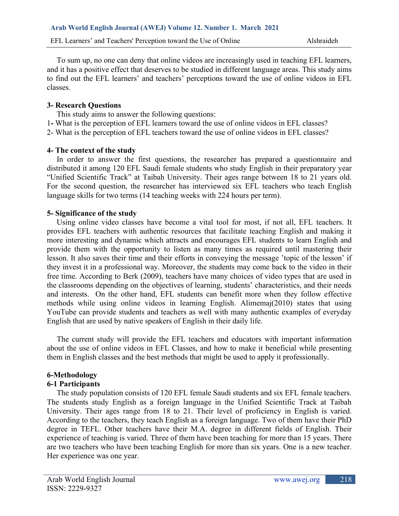To sum up, no one can deny that online videos are increasingly used in teaching EFL learners, and it has a positive effect that deserves to be studied in different language areas. This study aims to find out the EFL learners' and teachers' perceptions toward the use of online videos in EFL classes.

## **3- Research Questions**

This study aims to answer the following questions:

1**-** What is the perception of EFL learners toward the use of online videos in EFL classes?

2- What is the perception of EFL teachers toward the use of online videos in EFL classes?

## **4- The context of the study**

 In order to answer the first questions, the researcher has prepared a questionnaire and distributed it among 120 EFL Saudi female students who study English in their preparatory year "Unified Scientific Track" at Taibah University. Their ages range between 18 to 21 years old. For the second question, the researcher has interviewed six EFL teachers who teach English language skills for two terms (14 teaching weeks with 224 hours per term).

## **5- Significance of the study**

 Using online video classes have become a vital tool for most, if not all, EFL teachers. It provides EFL teachers with authentic resources that facilitate teaching English and making it more interesting and dynamic which attracts and encourages EFL students to learn English and provide them with the opportunity to listen as many times as required until mastering their lesson. It also saves their time and their efforts in conveying the message 'topic of the lesson' if they invest it in a professional way. Moreover, the students may come back to the video in their free time. According to Berk (2009), teachers have many choices of video types that are used in the classrooms depending on the objectives of learning, students' characteristics, and their needs and interests. On the other hand, EFL students can benefit more when they follow effective methods while using online videos in learning English. Alimemaj(2010) states that using YouTube can provide students and teachers as well with many authentic examples of everyday English that are used by native speakers of English in their daily life.

 The current study will provide the EFL teachers and educators with important information about the use of online videos in EFL Classes, and how to make it beneficial while presenting them in English classes and the best methods that might be used to apply it professionally.

# **6-Methodology**

# **6-1 Participants**

 The study population consists of 120 EFL female Saudi students and six EFL female teachers. The students study English as a foreign language in the Unified Scientific Track at Taibah University. Their ages range from 18 to 21. Their level of proficiency in English is varied. According to the teachers, they teach English as a foreign language. Two of them have their PhD degree in TEFL. Other teachers have their M.A. degree in different fields of English. Their experience of teaching is varied. Three of them have been teaching for more than 15 years. There are two teachers who have been teaching English for more than six years. One is a new teacher. Her experience was one year.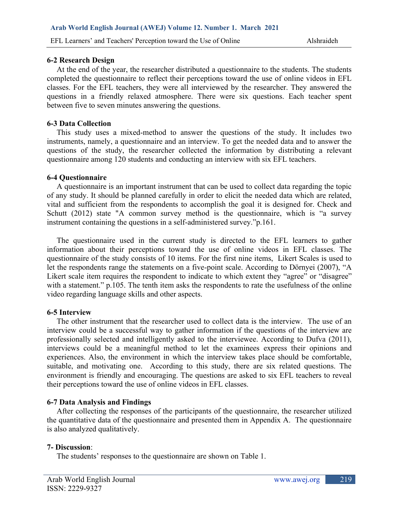### **6-2 Research Design**

 At the end of the year, the researcher distributed a questionnaire to the students. The students completed the questionnaire to reflect their perceptions toward the use of online videos in EFL classes. For the EFL teachers, they were all interviewed by the researcher. They answered the questions in a friendly relaxed atmosphere. There were six questions. Each teacher spent between five to seven minutes answering the questions.

### **6-3 Data Collection**

 This study uses a mixed-method to answer the questions of the study. It includes two instruments, namely, a questionnaire and an interview. To get the needed data and to answer the questions of the study, the researcher collected the information by distributing a relevant questionnaire among 120 students and conducting an interview with six EFL teachers.

## **6-4 Questionnaire**

 A questionnaire is an important instrument that can be used to collect data regarding the topic of any study. It should be planned carefully in order to elicit the needed data which are related, vital and sufficient from the respondents to accomplish the goal it is designed for. Check and Schutt (2012) state "A common survey method is the questionnaire, which is "a survey instrument containing the questions in a self-administered survey."p.161.

 The questionnaire used in the current study is directed to the EFL learners to gather information about their perceptions toward the use of online videos in EFL classes. The questionnaire of the study consists of 10 items. For the first nine items, Likert Scales is used to let the respondents range the statements on a five-point scale. According to Dörnyei (2007), "A Likert scale item requires the respondent to indicate to which extent they "agree" or "disagree" with a statement." p.105. The tenth item asks the respondents to rate the usefulness of the online video regarding language skills and other aspects.

# **6-5 Interview**

 The other instrument that the researcher used to collect data is the interview. The use of an interview could be a successful way to gather information if the questions of the interview are professionally selected and intelligently asked to the interviewee. According to Dufva (2011), interviews could be a meaningful method to let the examinees express their opinions and experiences. Also, the environment in which the interview takes place should be comfortable, suitable, and motivating one. According to this study, there are six related questions. The environment is friendly and encouraging. The questions are asked to six EFL teachers to reveal their perceptions toward the use of online videos in EFL classes.

# **6-7 Data Analysis and Findings**

 After collecting the responses of the participants of the questionnaire, the researcher utilized the quantitative data of the questionnaire and presented them in Appendix A. The questionnaire is also analyzed qualitatively.

# **7- Discussion**:

The students' responses to the questionnaire are shown on Table 1.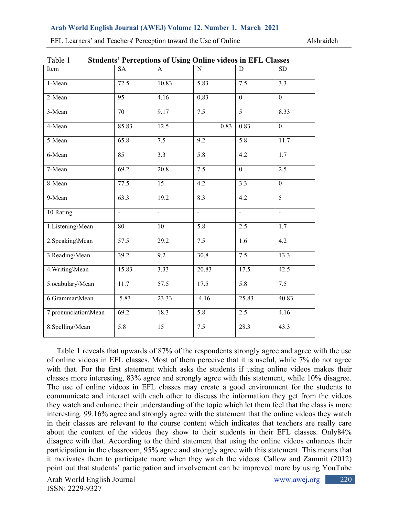#### **Arab World English Journal (AWEJ) Volume 12. Number 1. March 2021**

| <b>Students' Perceptions of Using Online videos in EFL Classes</b><br>Table 1 |                 |                |                   |                  |                  |  |  |
|-------------------------------------------------------------------------------|-----------------|----------------|-------------------|------------------|------------------|--|--|
| Item                                                                          | <b>SA</b>       | $\mathsf{A}$   | N                 | D                | <b>SD</b>        |  |  |
| 1-Mean                                                                        | 72.5            | 10.83          | $\overline{5.83}$ | $\overline{7.5}$ | 3.3              |  |  |
| 2-Mean                                                                        | $\overline{95}$ | 4.16           | 0,83              | $\mathbf{0}$     | $\overline{0}$   |  |  |
| 3-Mean                                                                        | 70              | 9.17           | 7.5               | $\overline{5}$   | 8.33             |  |  |
| 4-Mean                                                                        | 85.83           | 12.5           | 0.83              | 0.83             | $\boldsymbol{0}$ |  |  |
| 5-Mean                                                                        | 65.8            | 7.5            | 9.2               | 5.8              | 11.7             |  |  |
| 6-Mean                                                                        | $\overline{85}$ | 3.3            | $\overline{5.8}$  | 4.2              | $\overline{1.7}$ |  |  |
| 7-Mean                                                                        | 69.2            | 20.8           | 7.5               | $\mathbf{0}$     | $\overline{2.5}$ |  |  |
| 8-Mean                                                                        | 77.5            | 15             | $\overline{4.2}$  | 3.3              | $\overline{0}$   |  |  |
| 9-Mean                                                                        | 63.3            | 19.2           | 8.3               | 4.2              | 5                |  |  |
| 10 Rating                                                                     | $\blacksquare$  | $\blacksquare$ | $\blacksquare$    | $\frac{1}{2}$    | $\blacksquare$   |  |  |
| 1.Listening\Mean                                                              | 80              | 10             | $\overline{5.8}$  | 2.5              | 1.7              |  |  |
| 2. Speaking\Mean                                                              | 57.5            | 29.2           | 7.5               | 1.6              | 4.2              |  |  |
| 3.Reading\Mean                                                                | 39.2            | 9.2            | 30.8              | 7.5              | 13.3             |  |  |
| 4. Writing\Mean                                                               | 15.83           | 3.33           | 20.83             | 17.5             | 42.5             |  |  |
| 5.ocabulary\Mean                                                              | 11.7            | 57.5           | 17.5              | 5.8              | 7.5              |  |  |
| 6.Grammar\Mean                                                                | 5.83            | 23.33          | 4.16              | 25.83            | 40.83            |  |  |
| 7.pronunciation\Mean                                                          | 69.2            | 18.3           | 5.8               | 2.5              | 4.16             |  |  |
| 8.Spelling\Mean                                                               | 5.8             | 15             | 7.5               | 28.3             | 43.3             |  |  |
|                                                                               |                 |                |                   |                  |                  |  |  |

EFL Learners' and Teachers' Perception toward the Use of Online Alshraideh

 Table 1 reveals that upwards of 87% of the respondents strongly agree and agree with the use of online videos in EFL classes. Most of them perceive that it is useful, while 7% do not agree with that. For the first statement which asks the students if using online videos makes their classes more interesting, 83% agree and strongly agree with this statement, while 10% disagree. The use of online videos in EFL classes may create a good environment for the students to communicate and interact with each other to discuss the information they get from the videos they watch and enhance their understanding of the topic which let them feel that the class is more interesting. 99.16% agree and strongly agree with the statement that the online videos they watch in their classes are relevant to the course content which indicates that teachers are really care about the content of the videos they show to their students in their EFL classes. Only84% disagree with that. According to the third statement that using the online videos enhances their participation in the classroom, 95% agree and strongly agree with this statement. This means that it motivates them to participate more when they watch the videos. Callow and Zammit (2012) point out that students' participation and involvement can be improved more by using YouTube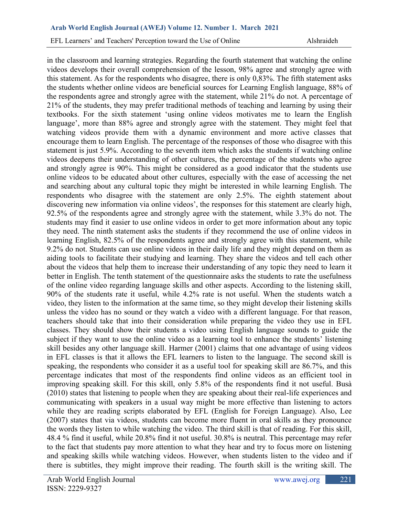in the classroom and learning strategies. Regarding the fourth statement that watching the online videos develops their overall comprehension of the lesson, 98% agree and strongly agree with this statement. As for the respondents who disagree, there is only 0,83%. The fifth statement asks the students whether online videos are beneficial sources for Learning English language, 88% of the respondents agree and strongly agree with the statement, while 21% do not. A percentage of 21% of the students, they may prefer traditional methods of teaching and learning by using their textbooks. For the sixth statement 'using online videos motivates me to learn the English language', more than 88% agree and strongly agree with the statement. They might feel that watching videos provide them with a dynamic environment and more active classes that encourage them to learn English. The percentage of the responses of those who disagree with this statement is just 5.9%. According to the seventh item which asks the students if watching online videos deepens their understanding of other cultures, the percentage of the students who agree and strongly agree is 90%. This might be considered as a good indicator that the students use online videos to be educated about other cultures, especially with the ease of accessing the net and searching about any cultural topic they might be interested in while learning English. The respondents who disagree with the statement are only 2.5%. The eighth statement about discovering new information via online videos', the responses for this statement are clearly high, 92.5% of the respondents agree and strongly agree with the statement, while 3.3% do not. The students may find it easier to use online videos in order to get more information about any topic they need. The ninth statement asks the students if they recommend the use of online videos in learning English, 82.5% of the respondents agree and strongly agree with this statement, while 9.2% do not. Students can use online videos in their daily life and they might depend on them as aiding tools to facilitate their studying and learning. They share the videos and tell each other about the videos that help them to increase their understanding of any topic they need to learn it better in English. The tenth statement of the questionnaire asks the students to rate the usefulness of the online video regarding language skills and other aspects. According to the listening skill, 90% of the students rate it useful, while 4.2% rate is not useful. When the students watch a video, they listen to the information at the same time, so they might develop their listening skills unless the video has no sound or they watch a video with a different language. For that reason, teachers should take that into their consideration while preparing the video they use in EFL classes. They should show their students a video using English language sounds to guide the subject if they want to use the online video as a learning tool to enhance the students' listening skill besides any other language skill. Harmer (2001) claims that one advantage of using videos in EFL classes is that it allows the EFL learners to listen to the language. The second skill is speaking, the respondents who consider it as a useful tool for speaking skill are 86.7%, and this percentage indicates that most of the respondents find online videos as an efficient tool in improving speaking skill. For this skill, only 5.8% of the respondents find it not useful. Busà (2010) states that listening to people when they are speaking about their real-life experiences and communicating with speakers in a usual way might be more effective than listening to actors while they are reading scripts elaborated by EFL (English for Foreign Language). Also, Lee (2007) states that via videos, students can become more fluent in oral skills as they pronounce the words they listen to while watching the video. The third skill is that of reading. For this skill, 48.4 % find it useful, while 20.8% find it not useful. 30.8% is neutral. This percentage may refer to the fact that students pay more attention to what they hear and try to focus more on listening and speaking skills while watching videos. However, when students listen to the video and if there is subtitles, they might improve their reading. The fourth skill is the writing skill. The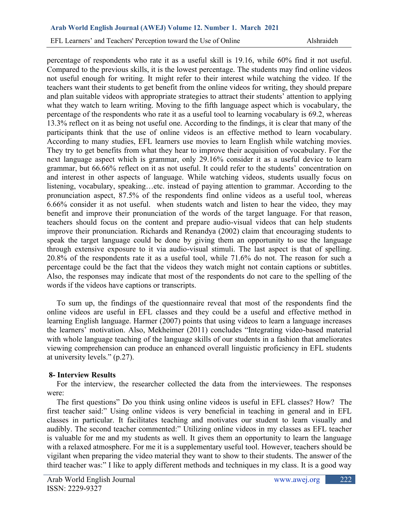percentage of respondents who rate it as a useful skill is 19.16, while 60% find it not useful. Compared to the previous skills, it is the lowest percentage. The students may find online videos not useful enough for writing. It might refer to their interest while watching the video. If the teachers want their students to get benefit from the online videos for writing, they should prepare and plan suitable videos with appropriate strategies to attract their students' attention to applying what they watch to learn writing. Moving to the fifth language aspect which is vocabulary, the percentage of the respondents who rate it as a useful tool to learning vocabulary is 69.2, whereas 13.3% reflect on it as being not useful one. According to the findings, it is clear that many of the participants think that the use of online videos is an effective method to learn vocabulary. According to many studies, EFL learners use movies to learn English while watching movies. They try to get benefits from what they hear to improve their acquisition of vocabulary. For the next language aspect which is grammar, only 29.16% consider it as a useful device to learn grammar, but 66.66% reflect on it as not useful. It could refer to the students' concentration on and interest in other aspects of language. While watching videos, students usually focus on listening, vocabulary, speaking…etc. instead of paying attention to grammar. According to the pronunciation aspect, 87.5% of the respondents find online videos as a useful tool, whereas 6.66% consider it as not useful. when students watch and listen to hear the video, they may benefit and improve their pronunciation of the words of the target language. For that reason, teachers should focus on the content and prepare audio-visual videos that can help students improve their pronunciation. Richards and Renandya (2002) claim that encouraging students to speak the target language could be done by giving them an opportunity to use the language through extensive exposure to it via audio-visual stimuli. The last aspect is that of spelling. 20.8% of the respondents rate it as a useful tool, while 71.6% do not. The reason for such a percentage could be the fact that the videos they watch might not contain captions or subtitles. Also, the responses may indicate that most of the respondents do not care to the spelling of the words if the videos have captions or transcripts.

 To sum up, the findings of the questionnaire reveal that most of the respondents find the online videos are useful in EFL classes and they could be a useful and effective method in learning English language. Harmer (2007) points that using videos to learn a language increases the learners' motivation. Also, Mekheimer (2011) concludes "Integrating video-based material with whole language teaching of the language skills of our students in a fashion that ameliorates viewing comprehension can produce an enhanced overall linguistic proficiency in EFL students at university levels." (p.27).

# **8- Interview Results**

 For the interview, the researcher collected the data from the interviewees. The responses were:

 The first questions" Do you think using online videos is useful in EFL classes? How? The first teacher said:" Using online videos is very beneficial in teaching in general and in EFL classes in particular. It facilitates teaching and motivates our student to learn visually and audibly. The second teacher commented:" Utilizing online videos in my classes as EFL teacher is valuable for me and my students as well. It gives them an opportunity to learn the language with a relaxed atmosphere. For me it is a supplementary useful tool. However, teachers should be vigilant when preparing the video material they want to show to their students. The answer of the third teacher was:" I like to apply different methods and techniques in my class. It is a good way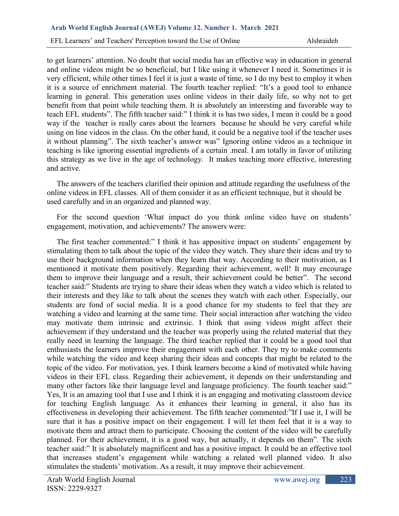to get learners' attention. No doubt that social media has an effective way in education in general and online videos might be so beneficial, but I like using it whenever I need it. Sometimes it is very efficient, while other times I feel it is just a waste of time, so I do my best to employ it when it is a source of enrichment material. The fourth teacher replied: "It's a good tool to enhance learning in general. This generation uses online videos in their daily life, so why not to get benefit from that point while teaching them. It is absolutely an interesting and favorable way to teach EFL students". The fifth teacher said:" I think it is has two sides, I mean it could be a good way if the teacher is really cares about the learners because he should be very careful while using on line videos in the class. On the other hand, it could be a negative tool if the teacher uses it without planning". The sixth teacher's answer was" Ignoring online videos as a technique in teaching is like ignoring essential ingredients of a certain .meal. I am totally in favor of utilizing this strategy as we live in the age of technology. It makes teaching more effective, interesting and active.

 The answers of the teachers clarified their opinion and attitude regarding the usefulness of the online videos in EFL classes. All of them consider it as an efficient technique, but it should be used carefully and in an organized and planned way.

 For the second question 'What impact do you think online video have on students' engagement, motivation, and achievements? The answers were:

 The first teacher commented:" I think it has appositive impact on students' engagement by stimulating them to talk about the topic of the video they watch. They share their ideas and try to use their background information when they learn that way. According to their motivation, as I mentioned it motivate them positively. Regarding their achievement, well! It may encourage them to improve their language and a result, their achievement could be better". The second teacher said:" Students are trying to share their ideas when they watch a video which is related to their interests and they like to talk about the scenes they watch with each other. Especially, our students are fond of social media. It is a good chance for my students to feel that they are watching a video and learning at the same time. Their social interaction after watching the video may motivate them intrinsic and extrinsic. I think that using videos might affect their achievement if they understand and the teacher was properly using the related material that they really need in learning the language. The third teacher replied that it could be a good tool that enthusiasts the learners improve their engagement with each other. They try to make comments while watching the video and keep sharing their ideas and concepts that might be related to the topic of the video. For motivation, yes. I think learners become a kind of motivated while having videos in their EFL class. Regarding their achievement, it depends on their understanding and many other factors like their language level and language proficiency. The fourth teacher said:" Yes, It is an amazing tool that I use and I think it is an engaging and motivating classroom device for teaching English language. As it enhances their learning in general, it also has its effectiveness in developing their achievement. The fifth teacher commented:"If I use it, I will be sure that it has a positive impact on their engagement. I will let them feel that it is a way to motivate them and attract them to participate. Choosing the content of the video will be carefully planned. For their achievement, it is a good way, but actually, it depends on them". The sixth teacher said:" It is absolutely magnificent and has a positive impact. It could be an effective tool that increases student's engagement while watching a related well planned video. It also stimulates the students' motivation. As a result, it may improve their achievement.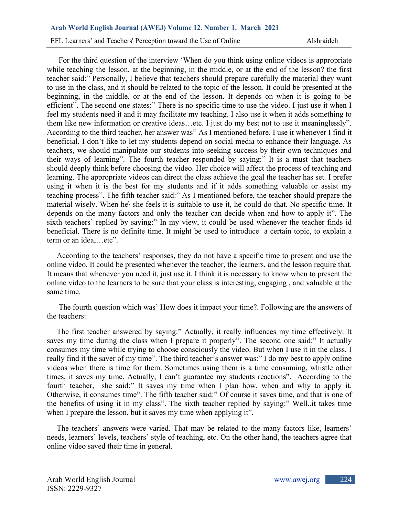For the third question of the interview 'When do you think using online videos is appropriate while teaching the lesson, at the beginning, in the middle, or at the end of the lesson? the first teacher said:" Personally, I believe that teachers should prepare carefully the material they want to use in the class, and it should be related to the topic of the lesson. It could be presented at the beginning, in the middle, or at the end of the lesson. It depends on when it is going to be efficient". The second one states:" There is no specific time to use the video. I just use it when I feel my students need it and it may facilitate my teaching. I also use it when it adds something to them like new information or creative ideas…etc. I just do my best not to use it meaninglessly". According to the third teacher, her answer was" As I mentioned before. I use it whenever I find it beneficial. I don't like to let my students depend on social media to enhance their language. As teachers, we should manipulate our students into seeking success by their own techniques and their ways of learning". The fourth teacher responded by saying:" It is a must that teachers should deeply think before choosing the video. Her choice will affect the process of teaching and learning. The appropriate videos can direct the class achieve the goal the teacher has set. I prefer using it when it is the best for my students and if it adds something valuable or assist my teaching process". The fifth teacher said:" As I mentioned before, the teacher should prepare the material wisely. When he\ she feels it is suitable to use it, he could do that. No specific time. It depends on the many factors and only the teacher can decide when and how to apply it". The sixth teachers' replied by saying:" In my view, it could be used whenever the teacher finds id beneficial. There is no definite time. It might be used to introduce a certain topic, to explain a term or an idea,…etc".

 According to the teachers' responses, they do not have a specific time to present and use the online video. It could be presented whenever the teacher, the learners, and the lesson require that. It means that whenever you need it, just use it. I think it is necessary to know when to present the online video to the learners to be sure that your class is interesting, engaging , and valuable at the same time.

 The fourth question which was' How does it impact your time?. Following are the answers of the teachers:

 The first teacher answered by saying:" Actually, it really influences my time effectively. It saves my time during the class when I prepare it properly". The second one said:" It actually consumes my time while trying to choose consciously the video. But when I use it in the class, I really find it the saver of my time". The third teacher's answer was:" I do my best to apply online videos when there is time for them. Sometimes using them is a time consuming, whistle other times, it saves my time. Actually, I can't guarantee my students reactions". According to the fourth teacher, she said:" It saves my time when I plan how, when and why to apply it. Otherwise, it consumes time". The fifth teacher said:" Of course it saves time, and that is one of the benefits of using it in my class". The sixth teacher replied by saying:" Well..it takes time when I prepare the lesson, but it saves my time when applying it".

 The teachers' answers were varied. That may be related to the many factors like, learners' needs, learners' levels, teachers' style of teaching, etc. On the other hand, the teachers agree that online video saved their time in general.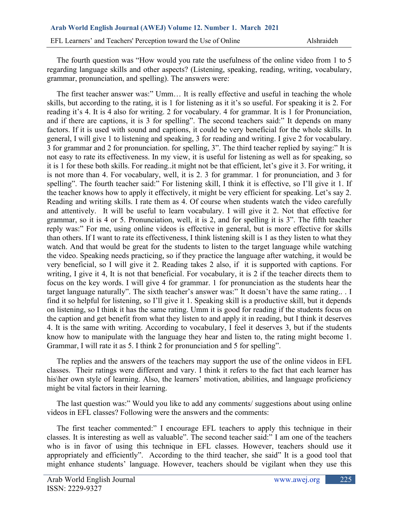The fourth question was "How would you rate the usefulness of the online video from 1 to 5 regarding language skills and other aspects? (Listening, speaking, reading, writing, vocabulary, grammar, pronunciation, and spelling). The answers were:

 The first teacher answer was:" Umm… It is really effective and useful in teaching the whole skills, but according to the rating, it is 1 for listening as it it's so useful. For speaking it is 2. For reading it's 4. It is 4 also for writing. 2 for vocabulary. 4 for grammar. It is 1 for Pronunciation, and if there are captions, it is 3 for spelling". The second teachers said:" It depends on many factors. If it is used with sound and captions, it could be very beneficial for the whole skills. In general, I will give 1 to listening and speaking, 3 for reading and writing. I give 2 for vocabulary. 3 for grammar and 2 for pronunciation. for spelling, 3". The third teacher replied by saying:" It is not easy to rate its effectiveness. In my view, it is useful for listening as well as for speaking, so it is 1 for these both skills. For reading..it might not be that efficient, let's give it 3. For writing, it is not more than 4. For vocabulary, well, it is 2. 3 for grammar. 1 for pronunciation, and 3 for spelling". The fourth teacher said:" For listening skill, I think it is effective, so I'll give it 1. If the teacher knows how to apply it effectively, it might be very efficient for speaking. Let's say 2. Reading and writing skills. I rate them as 4. Of course when students watch the video carefully and attentively. It will be useful to learn vocabulary. I will give it 2. Not that effective for grammar, so it is 4 or 5. Pronunciation, well, it is 2, and for spelling it is 3". The fifth teacher reply was:" For me, using online videos is effective in general, but is more effective for skills than others. If I want to rate its effectiveness, I think listening skill is 1 as they listen to what they watch. And that would be great for the students to listen to the target language while watching the video. Speaking needs practicing, so if they practice the language after watching, it would be very beneficial, so I will give it 2. Reading takes 2 also, if it is supported with captions. For writing, I give it 4, It is not that beneficial. For vocabulary, it is 2 if the teacher directs them to focus on the key words. I will give 4 for grammar. 1 for pronunciation as the students hear the target language naturally". The sixth teacher's answer was:" It doesn't have the same rating.. . I find it so helpful for listening, so I'll give it 1. Speaking skill is a productive skill, but it depends on listening, so I think it has the same rating. Umm it is good for reading if the students focus on the caption and get benefit from what they listen to and apply it in reading, but I think it deserves 4. It is the same with writing. According to vocabulary, I feel it deserves 3, but if the students know how to manipulate with the language they hear and listen to, the rating might become 1. Grammar, I will rate it as 5. I think 2 for pronunciation and 5 for spelling".

 The replies and the answers of the teachers may support the use of the online videos in EFL classes. Their ratings were different and vary. I think it refers to the fact that each learner has his\her own style of learning. Also, the learners' motivation, abilities, and language proficiency might be vital factors in their learning.

 The last question was:" Would you like to add any comments/ suggestions about using online videos in EFL classes? Following were the answers and the comments:

 The first teacher commented:" I encourage EFL teachers to apply this technique in their classes. It is interesting as well as valuable". The second teacher said:" I am one of the teachers who is in favor of using this technique in EFL classes. However, teachers should use it appropriately and efficiently". According to the third teacher, she said" It is a good tool that might enhance students' language. However, teachers should be vigilant when they use this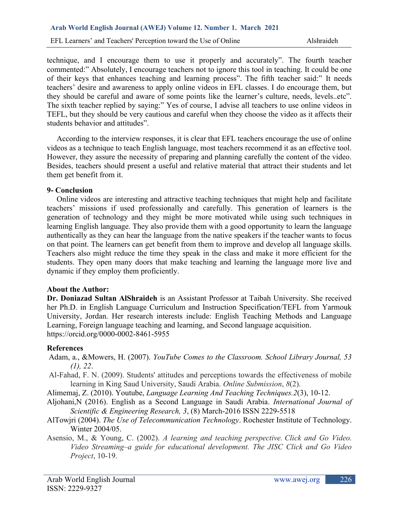technique, and I encourage them to use it properly and accurately". The fourth teacher commented:" Absolutely, I encourage teachers not to ignore this tool in teaching. It could be one of their keys that enhances teaching and learning process". The fifth teacher said:" It needs teachers' desire and awareness to apply online videos in EFL classes. I do encourage them, but they should be careful and aware of some points like the learner's culture, needs, levels..etc". The sixth teacher replied by saying:" Yes of course, I advise all teachers to use online videos in TEFL, but they should be very cautious and careful when they choose the video as it affects their students behavior and attitudes".

 According to the interview responses, it is clear that EFL teachers encourage the use of online videos as a technique to teach English language, most teachers recommend it as an effective tool. However, they assure the necessity of preparing and planning carefully the content of the video. Besides, teachers should present a useful and relative material that attract their students and let them get benefit from it.

#### **9- Conclusion**

 Online videos are interesting and attractive teaching techniques that might help and facilitate teachers' missions if used professionally and carefully. This generation of learners is the generation of technology and they might be more motivated while using such techniques in learning English language. They also provide them with a good opportunity to learn the language authentically as they can hear the language from the native speakers if the teacher wants to focus on that point. The learners can get benefit from them to improve and develop all language skills. Teachers also might reduce the time they speak in the class and make it more efficient for the students. They open many doors that make teaching and learning the language more live and dynamic if they employ them proficiently.

#### **About the Author:**

**Dr. Doniazad Sultan AlShraideh** is an Assistant Professor at Taibah University. She received her Ph.D. in English Language Curriculum and Instruction Specification/TEFL from Yarmouk University, Jordan. Her research interests include: English Teaching Methods and Language Learning, Foreign language teaching and learning, and Second language acquisition. <https://orcid.org/0000-0002-8461-5955>

#### **References**

- Adam, a., &Mowers, H. (2007). *YouTube Comes to the Classroom. School Library Journal, 53 (1), 22*.
- Al-Fahad, F. N. (2009). Students' attitudes and perceptions towards the effectiveness of mobile learning in King Saud University, Saudi Arabia. *Online Submission*, *8*(2).
- Alimemaj, Z. (2010). Youtube, *Language Learning And Teaching Techniques.2*(3), 10-12.
- Aljohani,N (2016). English as a Second Language in Saudi Arabia. *International Journal of Scientific & Engineering Research, 3*, (8) March-2016 ISSN 2229-5518
- AlTowjri (2004). *The Use of Telecommunication Technology*. Rochester Institute of Technology. Winter 2004/05.
- Asensio, M., & Young, C. (2002). *A learning and teaching perspective. Click and Go Video. Video Streaming–a guide for educational development. The JISC Click and Go Video Project*, 10-19.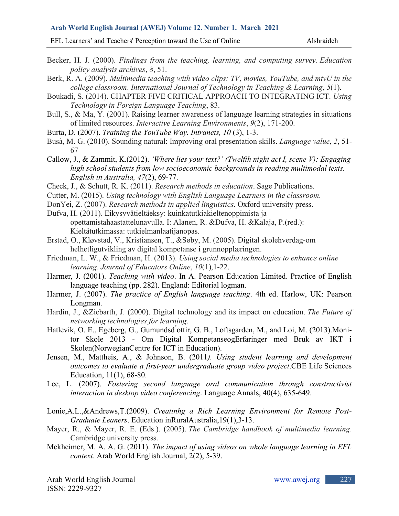#### **Arab World English Journal (AWEJ) Volume 12. Number 1. March 2021**

EFL Learners' and Teachers' Perception toward the Use of Online Alshraideh

- Becker, H. J. (2000). *Findings from the teaching, learning, and computing survey*. *Education policy analysis archives*, *8*, 51.
- Berk, R. A. (2009). *Multimedia teaching with video clips: TV, movies, YouTube, and mtvU in the college classroom*. *International Journal of Technology in Teaching & Learning*, *5*(1).
- Boukadi, S. (2014). CHAPTER FIVE CRITICAL APPROACH TO INTEGRATING ICT. *Using Technology in Foreign Language Teaching*, 83.
- Bull, S., & Ma, Y. (2001). Raising learner awareness of language learning strategies in situations of limited resources. *Interactive Learning Environments*, *9*(2), 171-200.
- Burta, D. (2007). *Training the YouTube Way. Intranets, 10* (3), 1-3.
- Busà, M. G. (2010). Sounding natural: Improving oral presentation skills. *Language value*, *2*, 51- 67
- Callow, J., & Zammit, K.(2012). *'Where lies your text?' (Twelfth night act I, scene V): Engaging high school students from low socioeconomic backgrounds in reading multimodal texts. English in Australia, 47*(2), 69-77.
- Check, J., & Schutt, R. K. (2011). *Research methods in education*. Sage Publications.
- Cutter, M. (2015). *Using technology with English Language Learners in the classroom.*
- DonYei, Z. (2007). *Research methods in applied linguistics*. Oxford university press.
- Dufva, H. (2011). Eikysyvätieltäeksy: kuinkatutkiakieltenoppimista ja opettamistahaastattelunavulla. I: Alanen, R. &Dufva, H. &Kalaja, P.(red.): Kieltätutkimassa: tutkielmanlaatijanopas.
- Erstad, O., Kløvstad, V., Kristiansen, T., &Søby, M. (2005). Digital skolehverdag-om helhetligutvikling av digital kompetanse i grunnopplæringen.
- Friedman, L. W., & Friedman, H. (2013). *Using social media technologies to enhance online learning*. *Journal of Educators Online*, *10*(1),1-22.
- Harmer, J. (2001). *Teaching with video*. In A. Pearson Education Limited. Practice of English language teaching (pp. 282). England: Editorial logman.
- Harmer, J. (2007). *The practice of English language teaching*. 4th ed. Harlow, UK: Pearson Longman.
- Hardin, J., &Ziebarth, J. (2000). Digital technology and its impact on education. *The Future of networking technologies for learning*.
- Hatlevik, O. E., Egeberg, G., Gumundsd ́ottir, G. B., Loftsgarden, M., and Loi, M. (2013).Monitor Skole 2013 - Om Digital KompetanseogErfaringer med Bruk av IKT i Skolen(NorwegianCentre for ICT in Education).
- Jensen, M., Mattheis, A., & Johnson, B. (2011*). Using student learning and development outcomes to evaluate a first-year undergraduate group video project*.CBE Life Sciences Education, 11(1), 68-80.
- Lee, L. (2007). *Fostering second language oral communication through constructivist interaction in desktop video conferencing*. Language Annals, 40(4), 635-649.
- Lonie,A.L.,&Andrews,T.(2009). *Creatinhg a Rich Learning Environment for Remote Post-Graduate Leaners*. Education inRuralAustralia,19(1),3-13.
- Mayer, R., & Mayer, R. E. (Eds.). (2005). *The Cambridge handbook of multimedia learning*. Cambridge university press.
- Mekheimer, M. A. A. G. (2011). *The impact of using videos on whole language learning in EFL context*. Arab World English Journal, 2(2), 5-39.